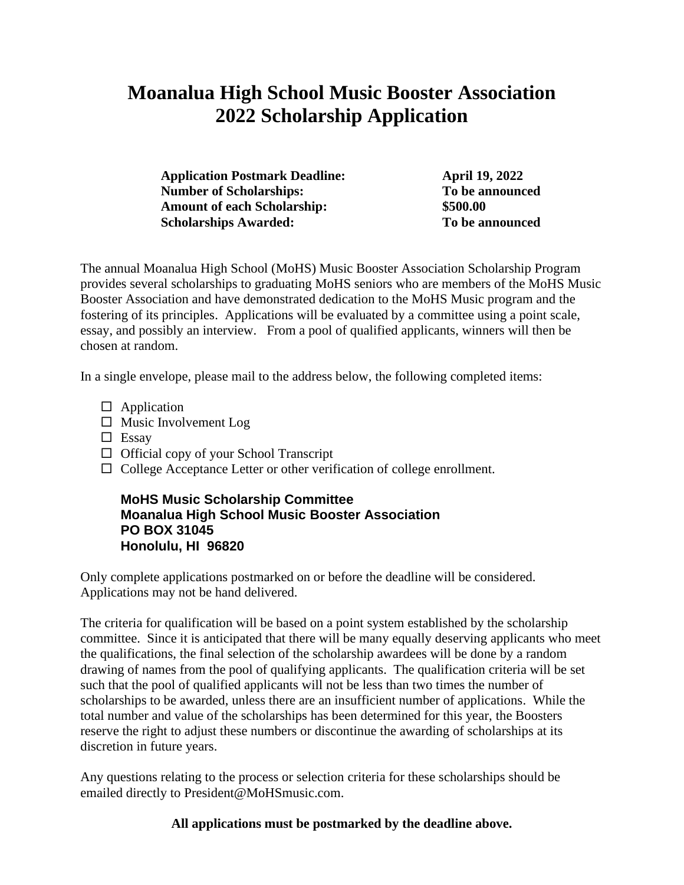# **Moanalua High School Music Booster Association 2022 Scholarship Application**

**Application Postmark Deadline: April 19, 2022 Number of Scholarships: To be announced Amount of each Scholarship: \$500.00 Scholarships Awarded: To be announced**

The annual Moanalua High School (MoHS) Music Booster Association Scholarship Program provides several scholarships to graduating MoHS seniors who are members of the MoHS Music Booster Association and have demonstrated dedication to the MoHS Music program and the fostering of its principles. Applications will be evaluated by a committee using a point scale, essay, and possibly an interview. From a pool of qualified applicants, winners will then be chosen at random.

In a single envelope, please mail to the address below, the following completed items:

- $\Box$  Application
- $\square$  Music Involvement Log
- $\Box$  Essay
- $\Box$  Official copy of your School Transcript
- $\Box$  College Acceptance Letter or other verification of college enrollment.

### **MoHS Music Scholarship Committee Moanalua High School Music Booster Association PO BOX 31045 Honolulu, HI 96820**

Only complete applications postmarked on or before the deadline will be considered. Applications may not be hand delivered.

The criteria for qualification will be based on a point system established by the scholarship committee. Since it is anticipated that there will be many equally deserving applicants who meet the qualifications, the final selection of the scholarship awardees will be done by a random drawing of names from the pool of qualifying applicants. The qualification criteria will be set such that the pool of qualified applicants will not be less than two times the number of scholarships to be awarded, unless there are an insufficient number of applications. While the total number and value of the scholarships has been determined for this year, the Boosters reserve the right to adjust these numbers or discontinue the awarding of scholarships at its discretion in future years.

Any questions relating to the process or selection criteria for these scholarships should be emailed directly to President@MoHSmusic.com.

**All applications must be postmarked by the deadline above.**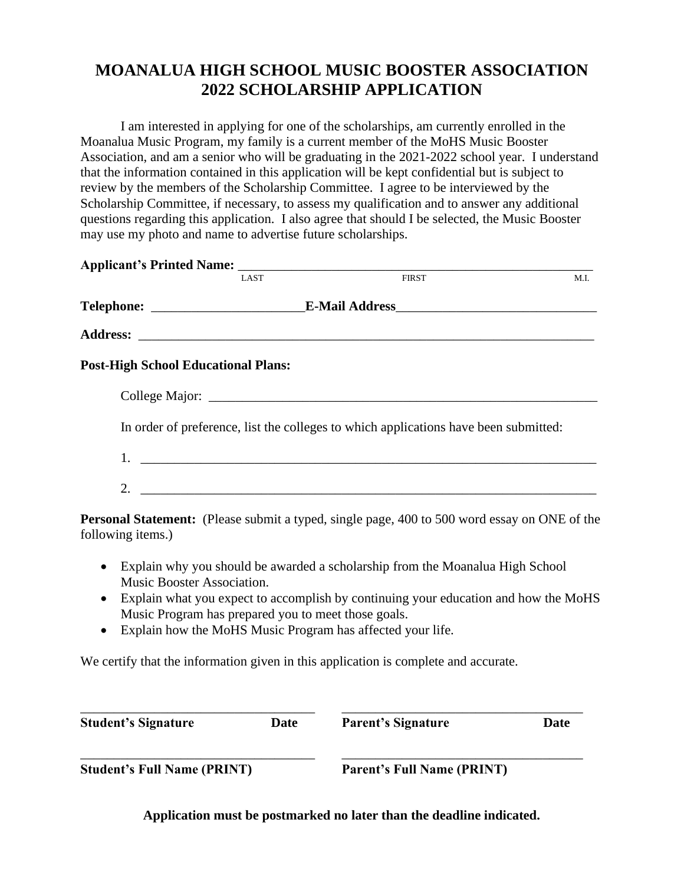## **MOANALUA HIGH SCHOOL MUSIC BOOSTER ASSOCIATION 2022 SCHOLARSHIP APPLICATION**

I am interested in applying for one of the scholarships, am currently enrolled in the Moanalua Music Program, my family is a current member of the MoHS Music Booster Association, and am a senior who will be graduating in the 2021-2022 school year. I understand that the information contained in this application will be kept confidential but is subject to review by the members of the Scholarship Committee. I agree to be interviewed by the Scholarship Committee, if necessary, to assess my qualification and to answer any additional questions regarding this application. I also agree that should I be selected, the Music Booster may use my photo and name to advertise future scholarships.

|                                            |                                                     | Applicant's Printed Name: TAST FIRST                                                         |      |
|--------------------------------------------|-----------------------------------------------------|----------------------------------------------------------------------------------------------|------|
|                                            |                                                     |                                                                                              | M.I. |
|                                            |                                                     |                                                                                              |      |
|                                            |                                                     |                                                                                              |      |
| <b>Post-High School Educational Plans:</b> |                                                     |                                                                                              |      |
|                                            |                                                     |                                                                                              |      |
|                                            |                                                     | In order of preference, list the colleges to which applications have been submitted:         |      |
|                                            |                                                     |                                                                                              |      |
|                                            |                                                     |                                                                                              |      |
| following items.)                          |                                                     | Personal Statement: (Please submit a typed, single page, 400 to 500 word essay on ONE of the |      |
| $\bullet$<br>Music Booster Association.    |                                                     | Explain why you should be awarded a scholarship from the Moanalua High School                |      |
| $\bullet$                                  | Music Program has prepared you to meet those goals. | Explain what you expect to accomplish by continuing your education and how the MoHS          |      |
| $\bullet$                                  |                                                     | Explain how the MoHS Music Program has affected your life.                                   |      |
|                                            |                                                     | We certify that the information given in this application is complete and accurate.          |      |

| <b>Student's Signature</b>         | Date | <b>Parent's Signature</b>         | <b>Date</b> |
|------------------------------------|------|-----------------------------------|-------------|
| <b>Student's Full Name (PRINT)</b> |      | <b>Parent's Full Name (PRINT)</b> |             |

**Application must be postmarked no later than the deadline indicated.**